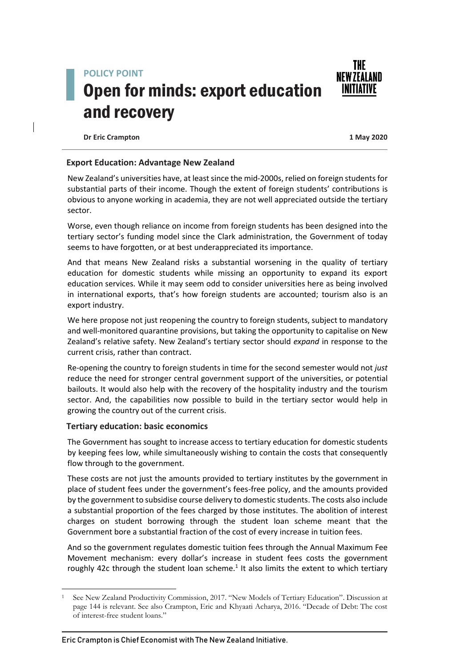## **POLICY POINT** Open for minds: export education and recovery



**Dr Eric Crampton 1 May 2020**

## **Export Education: Advantage New Zealand**

New Zealand's universities have, at least since the mid-2000s, relied on foreign students for substantial parts of their income. Though the extent of foreign students' contributions is obvious to anyone working in academia, they are not well appreciated outside the tertiary sector.

Worse, even though reliance on income from foreign students has been designed into the tertiary sector's funding model since the Clark administration, the Government of today seems to have forgotten, or at best underappreciated its importance.

And that means New Zealand risks a substantial worsening in the quality of tertiary education for domestic students while missing an opportunity to expand its export education services. While it may seem odd to consider universities here as being involved in international exports, that's how foreign students are accounted; tourism also is an export industry.

We here propose not just reopening the country to foreign students, subject to mandatory and well-monitored quarantine provisions, but taking the opportunity to capitalise on New Zealand's relative safety. New Zealand's tertiary sector should *expand* in response to the current crisis, rather than contract.

Re-opening the country to foreign students in time for the second semester would not *just* reduce the need for stronger central government support of the universities, or potential bailouts. It would also help with the recovery of the hospitality industry and the tourism sector. And, the capabilities now possible to build in the tertiary sector would help in growing the country out of the current crisis.

## **Tertiary education: basic economics**

The Government has sought to increase access to tertiary education for domestic students by keeping fees low, while simultaneously wishing to contain the costs that consequently flow through to the government.

These costs are not just the amounts provided to tertiary institutes by the government in place of student fees under the government's fees-free policy, and the amounts provided by the government to subsidise course delivery to domestic students. The costs also include a substantial proportion of the fees charged by those institutes. The abolition of interest charges on student borrowing through the student loan scheme meant that the Government bore a substantial fraction of the cost of every increase in tuition fees.

And so the government regulates domestic tuition fees through the Annual Maximum Fee Movement mechanism: every dollar's increase in student fees costs the government roughly 42c through the student loan scheme. $<sup>1</sup>$  It also limits the extent to which tertiary</sup>

<sup>1</sup> See New Zealand Productivity Commission, 2017. "New Models of Tertiary Education". Discussion at page 144 is relevant. See also Crampton, Eric and Khyaati Acharya, 2016. "Decade of Debt: The cost of interest-free student loans."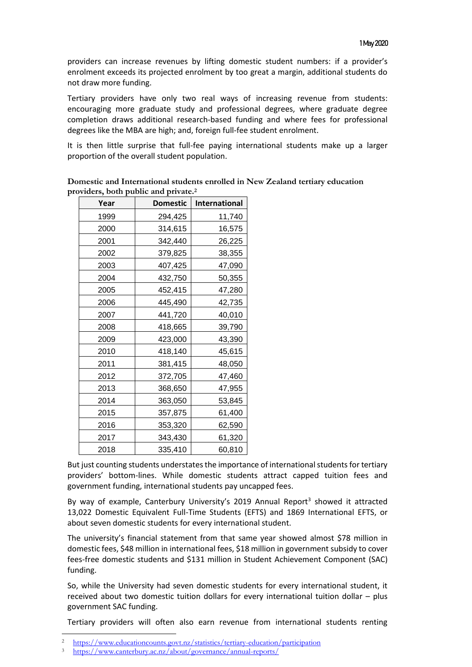providers can increase revenues by lifting domestic student numbers: if a provider's enrolment exceeds its projected enrolment by too great a margin, additional students do not draw more funding.

Tertiary providers have only two real ways of increasing revenue from students: encouraging more graduate study and professional degrees, where graduate degree completion draws additional research-based funding and where fees for professional degrees like the MBA are high; and, foreign full-fee student enrolment.

It is then little surprise that full-fee paying international students make up a larger proportion of the overall student population.

| Year | <b>Domestic</b> | International |
|------|-----------------|---------------|
| 1999 | 294,425         | 11,740        |
| 2000 | 314,615         | 16,575        |
| 2001 | 342,440         | 26,225        |
| 2002 | 379,825         | 38,355        |
| 2003 | 407,425         | 47,090        |
| 2004 | 432,750         | 50,355        |
| 2005 | 452,415         | 47,280        |
| 2006 | 445,490         | 42,735        |
| 2007 | 441,720         | 40,010        |
| 2008 | 418,665         | 39,790        |
| 2009 | 423,000         | 43,390        |
| 2010 | 418,140         | 45,615        |
| 2011 | 381,415         | 48,050        |
| 2012 | 372,705         | 47,460        |
| 2013 | 368,650         | 47,955        |
| 2014 | 363,050         | 53,845        |
| 2015 | 357,875         | 61,400        |
| 2016 | 353,320         | 62,590        |
| 2017 | 343,430         | 61,320        |
| 2018 | 335,410         | 60,810        |

**Domestic and International students enrolled in New Zealand tertiary education providers, both public and private.<sup>2</sup>**

But just counting students understates the importance of international students for tertiary providers' bottom-lines. While domestic students attract capped tuition fees and government funding, international students pay uncapped fees.

By way of example, Canterbury University's 2019 Annual Report<sup>3</sup> showed it attracted 13,022 Domestic Equivalent Full-Time Students (EFTS) and 1869 International EFTS, or about seven domestic students for every international student.

The university's financial statement from that same year showed almost \$78 million in domestic fees, \$48 million in international fees, \$18 million in government subsidy to cover fees-free domestic students and \$131 million in Student Achievement Component (SAC) funding.

So, while the University had seven domestic students for every international student, it received about two domestic tuition dollars for every international tuition dollar – plus government SAC funding.

Tertiary providers will often also earn revenue from international students renting

<sup>2</sup> <https://www.educationcounts.govt.nz/statistics/tertiary-education/participation>

<sup>3</sup> <https://www.canterbury.ac.nz/about/governance/annual-reports/>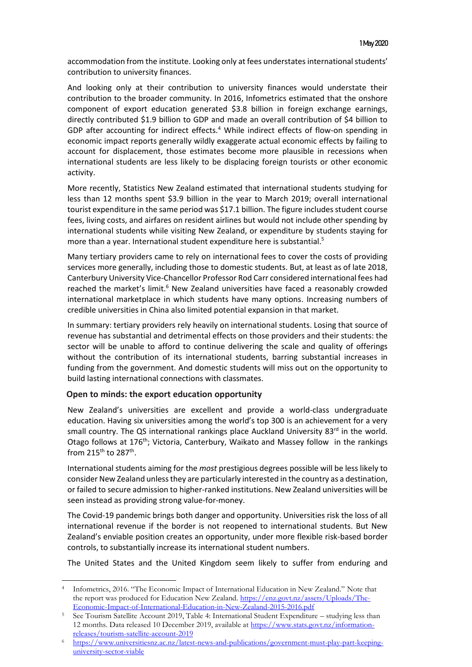accommodation from the institute. Looking only at fees understates international students' contribution to university finances.

And looking only at their contribution to university finances would understate their contribution to the broader community. In 2016, Infometrics estimated that the onshore component of export education generated \$3.8 billion in foreign exchange earnings, directly contributed \$1.9 billion to GDP and made an overall contribution of \$4 billion to GDP after accounting for indirect effects.<sup>4</sup> While indirect effects of flow-on spending in economic impact reports generally wildly exaggerate actual economic effects by failing to account for displacement, those estimates become more plausible in recessions when international students are less likely to be displacing foreign tourists or other economic activity.

More recently, Statistics New Zealand estimated that international students studying for less than 12 months spent \$3.9 billion in the year to March 2019; overall international tourist expenditure in the same period was \$17.1 billion. The figure includes student course fees, living costs, and airfares on resident airlines but would not include other spending by international students while visiting New Zealand, or expenditure by students staying for more than a year. International student expenditure here is substantial.<sup>5</sup>

Many tertiary providers came to rely on international fees to cover the costs of providing services more generally, including those to domestic students. But, at least as of late 2018, Canterbury University Vice-Chancellor Professor Rod Carr considered international fees had reached the market's limit.<sup>6</sup> New Zealand universities have faced a reasonably crowded international marketplace in which students have many options. Increasing numbers of credible universities in China also limited potential expansion in that market.

In summary: tertiary providers rely heavily on international students. Losing that source of revenue has substantial and detrimental effects on those providers and their students: the sector will be unable to afford to continue delivering the scale and quality of offerings without the contribution of its international students, barring substantial increases in funding from the government. And domestic students will miss out on the opportunity to build lasting international connections with classmates.

## **Open to minds: the export education opportunity**

New Zealand's universities are excellent and provide a world-class undergraduate education. Having six universities among the world's top 300 is an achievement for a very small country. The QS international rankings place Auckland University  $83<sup>rd</sup>$  in the world. Otago follows at 176<sup>th</sup>; Victoria, Canterbury, Waikato and Massey follow in the rankings from 215<sup>th</sup> to 287<sup>th</sup>.

International students aiming for the *most* prestigious degrees possible will be less likely to consider New Zealand unless they are particularly interested in the country as a destination, or failed to secure admission to higher-ranked institutions. New Zealand universities will be seen instead as providing strong value-for-money.

The Covid-19 pandemic brings both danger and opportunity. Universities risk the loss of all international revenue if the border is not reopened to international students. But New Zealand's enviable position creates an opportunity, under more flexible risk-based border controls, to substantially increase its international student numbers.

The United States and the United Kingdom seem likely to suffer from enduring and

<sup>4</sup> Infometrics, 2016. "The Economic Impact of International Education in New Zealand." Note that the report was produced for Education New Zealand. [https://enz.govt.nz/assets/Uploads/The-](https://enz.govt.nz/assets/Uploads/The-Economic-Impact-of-International-Education-in-New-Zealand-2015-2016.pdf)[Economic-Impact-of-International-Education-in-New-Zealand-2015-2016.pdf](https://enz.govt.nz/assets/Uploads/The-Economic-Impact-of-International-Education-in-New-Zealand-2015-2016.pdf)

<sup>5</sup> See Tourism Satellite Account 2019, Table 4: International Student Expenditure – studying less than 12 months. Data released 10 December 2019, available at [https://www.stats.govt.nz/information](https://www.stats.govt.nz/information-releases/tourism-satellite-account-2019)[releases/tourism-satellite-account-2019](https://www.stats.govt.nz/information-releases/tourism-satellite-account-2019)

<sup>6</sup> [https://www.universitiesnz.ac.nz/latest-news-and-publications/government-must-play-part-keeping](https://www.universitiesnz.ac.nz/latest-news-and-publications/government-must-play-part-keeping-university-sector-viable)[university-sector-viable](https://www.universitiesnz.ac.nz/latest-news-and-publications/government-must-play-part-keeping-university-sector-viable)